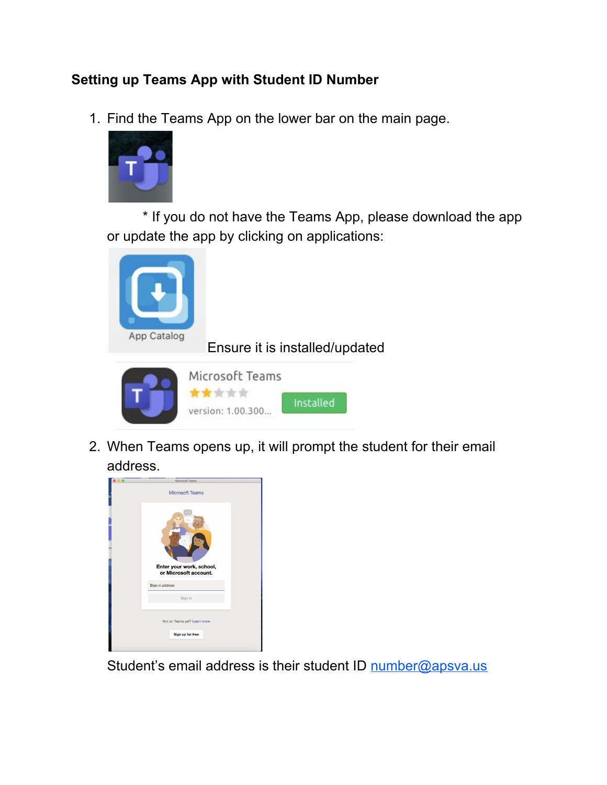## **Setting up Teams App with Student ID Number**

1. Find the Teams App on the lower bar on the main page.



\* If you do not have the Teams App, please download the app or update the app by clicking on applications:



Ensure it is installed/updated



2. When Teams opens up, it will prompt the student for their email address.



Student's email address is their student ID [number@apsva.us](mailto:number@apsva.us)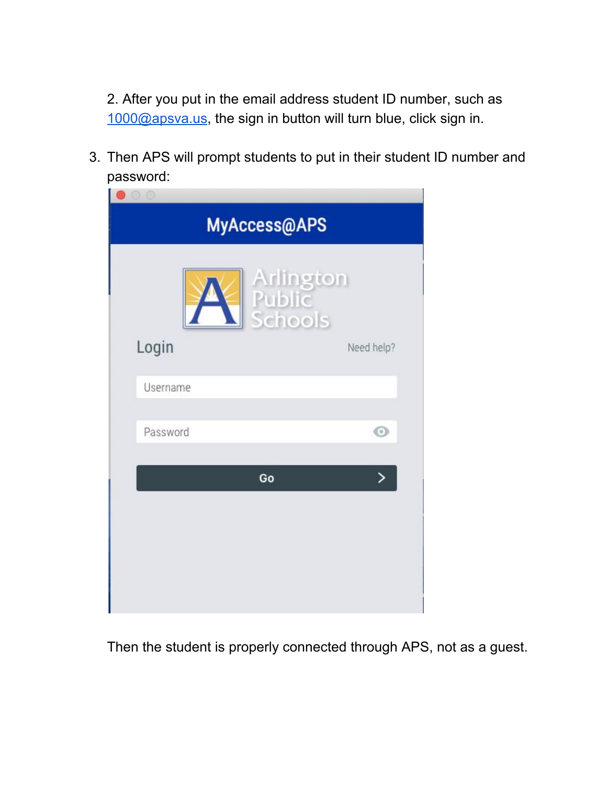2. After you put in the email address student ID number, such as [1000@apsva.us](mailto:1000@apsva.us), the sign in button will turn blue, click sign in.

3. Then APS will prompt students to put in their student ID number and password:

| $\odot$ $\odot$<br>MyAccess@APS |                                |  |  |
|---------------------------------|--------------------------------|--|--|
|                                 | Arlington<br>Public<br>Schools |  |  |
| Login                           | Need help?                     |  |  |
| <b>Username</b>                 |                                |  |  |
| Password                        | $\odot$                        |  |  |
|                                 | ゝ<br>Go                        |  |  |
|                                 |                                |  |  |
|                                 |                                |  |  |
|                                 |                                |  |  |
|                                 |                                |  |  |

Then the student is properly connected through APS, not as a guest.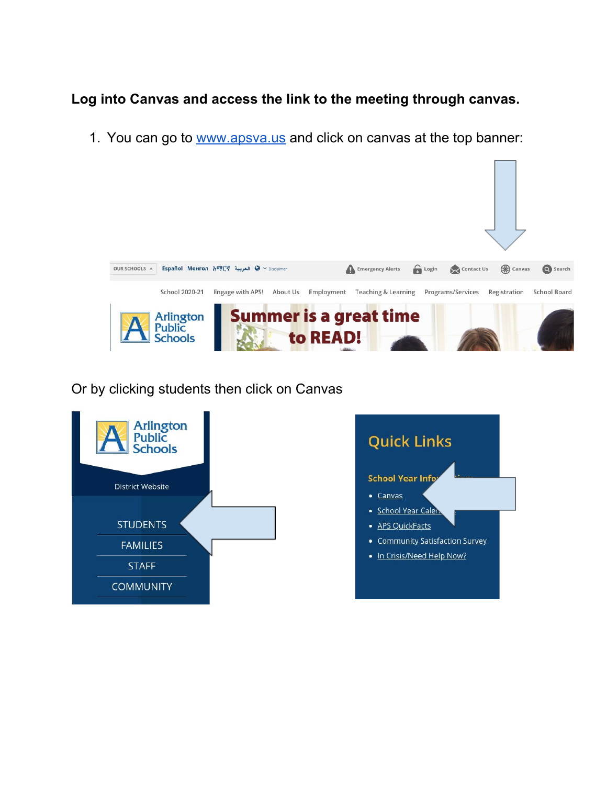### **Log into Canvas and access the link to the meeting through canvas.**

1. You can go to [www.apsva.us](http://www.apsva.us/) and click on canvas at the top banner:



Or by clicking students then click on Canvas

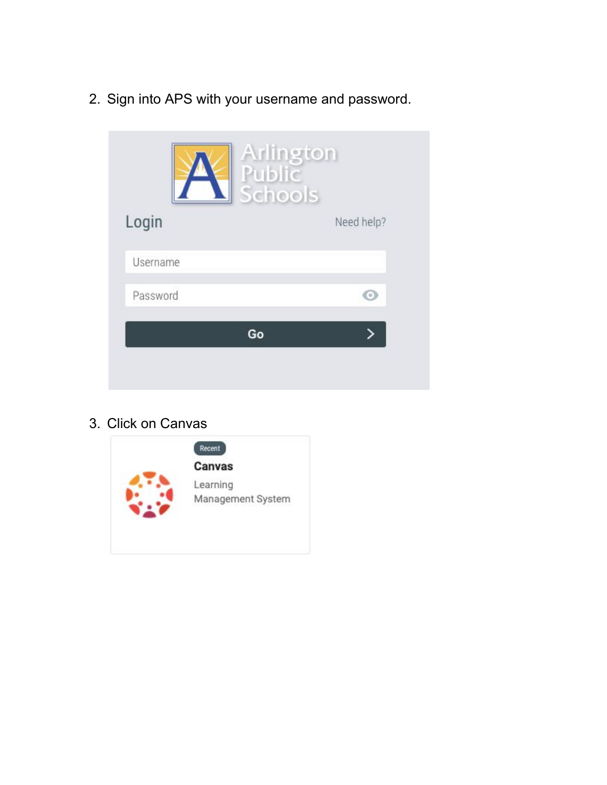2. Sign into APS with your username and password.



3. Click on Canvas

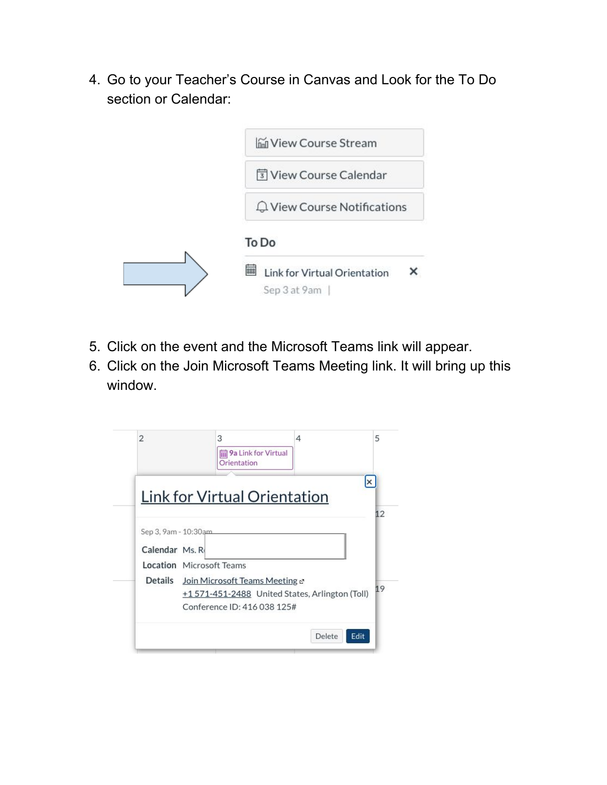4. Go to your Teacher's Course in Canvas and Look for the To Do section or Calendar:



- 5. Click on the event and the Microsoft Teams link will appear.
- 6. Click on the Join Microsoft Teams Meeting link. It will bring up this window.

| $\overline{2}$                         | 3<br>9a Link for Virtual<br>Orientation                                                                                                                     | 4      |      |
|----------------------------------------|-------------------------------------------------------------------------------------------------------------------------------------------------------------|--------|------|
|                                        | Link for Virtual Orientation                                                                                                                                |        |      |
| Sep 3, 9am - 10:30am<br>Calendar Ms. R |                                                                                                                                                             |        |      |
|                                        | <b>Location</b> Microsoft Teams<br>Details Join Microsoft Teams Meeting &<br>+1 571-451-2488 United States, Arlington (Toll)<br>Conference ID: 416 038 125# |        |      |
|                                        |                                                                                                                                                             | Delete | Edit |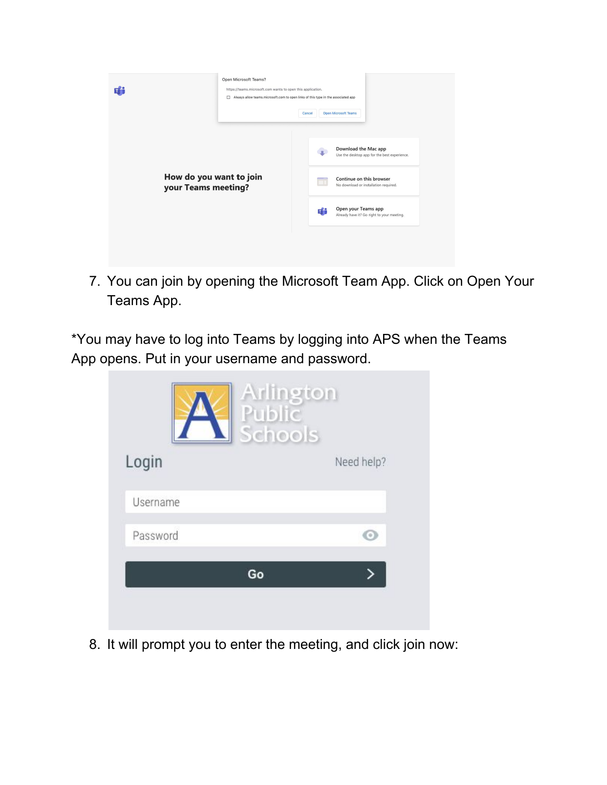

7. You can join by opening the Microsoft Team App. Click on Open Your Teams App.

\*You may have to log into Teams by logging into APS when the Teams App opens. Put in your username and password.

|          | Arlington<br>Public<br>Schools |            |
|----------|--------------------------------|------------|
| Login    |                                | Need help? |
| Username |                                |            |
| Password |                                |            |
|          | Go                             |            |
|          |                                |            |

8. It will prompt you to enter the meeting, and click join now: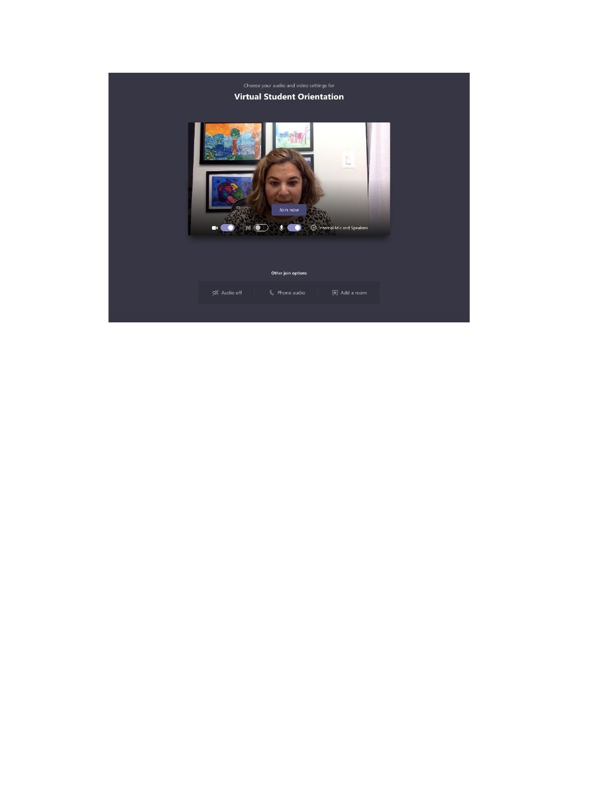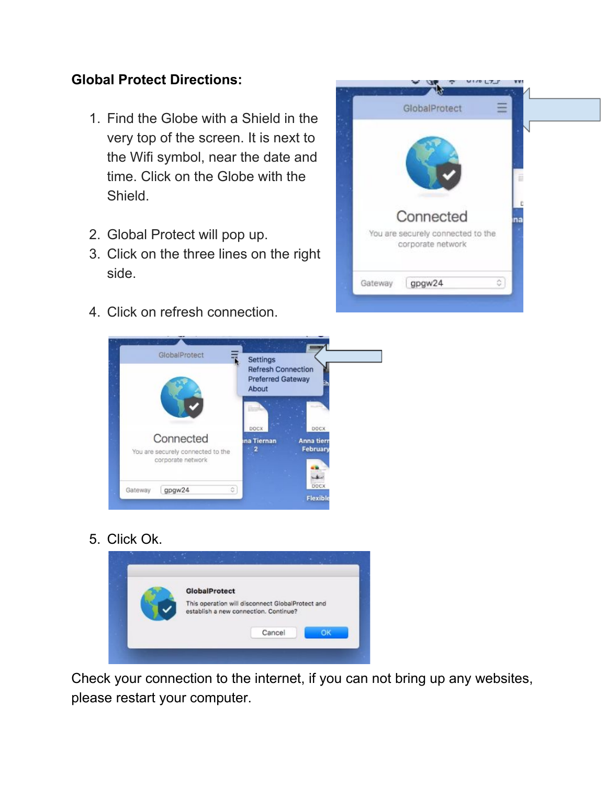### **Global Protect Directions:**

- 1. Find the Globe with a Shield in the very top of the screen. It is next to the Wifi symbol, near the date and time. Click on the Globe with the Shield.
- 2. Global Protect will pop up.
- 3. Click on the three lines on the right side.
- 4. Click on refresh connection.





5. Click Ok.



Check your connection to the internet, if you can not bring up any websites, please restart your computer.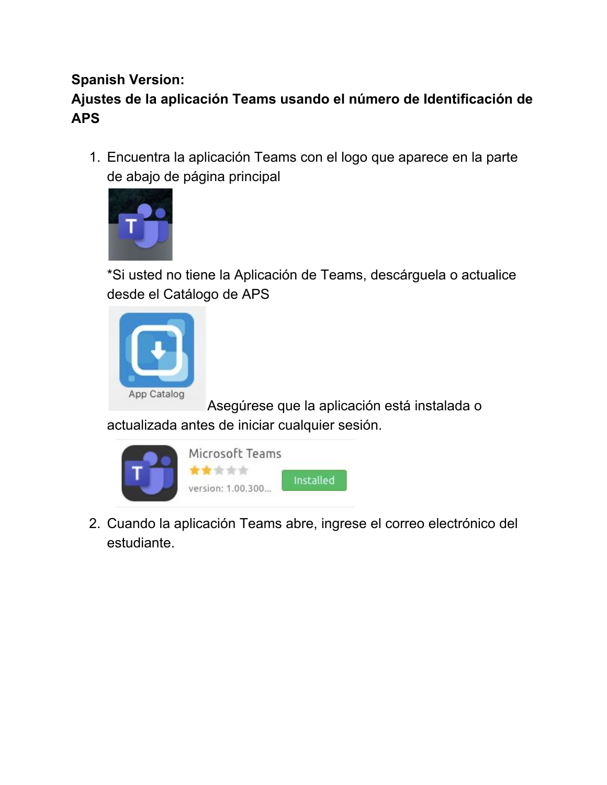## **Spanish Version:**

# **Ajustes de la aplicación Teams usando el número de Identificación de APS**

1. Encuentra la aplicación Teams con el logo que aparece en la parte de abajo de página principal



\*Si usted no tiene la Aplicación de Teams, descárguela o actualice desde el Catálogo de APS



Asegúrese que la aplicación está instalada o

actualizada antes de iniciar cualquier sesión.



2. Cuando la aplicación Teams abre, ingrese el correo electrónico del estudiante.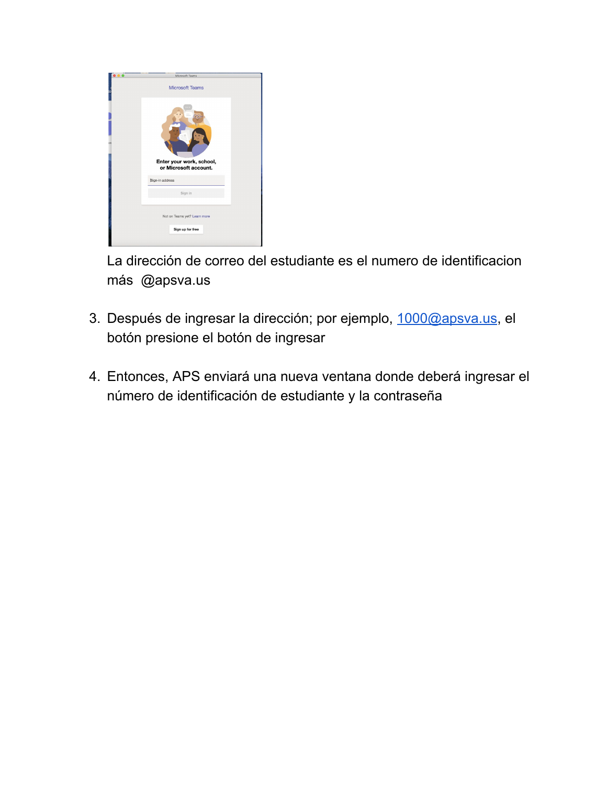

La dirección de correo del estudiante es el numero de identificacion más @apsva.us

- 3. Después de ingresar la dirección; por ejemplo, [1000@apsva.us,](mailto:1000@apsva.us) el botón presione el botón de ingresar
- 4. Entonces, APS enviará una nueva ventana donde deberá ingresar el número de identificación de estudiante y la contraseña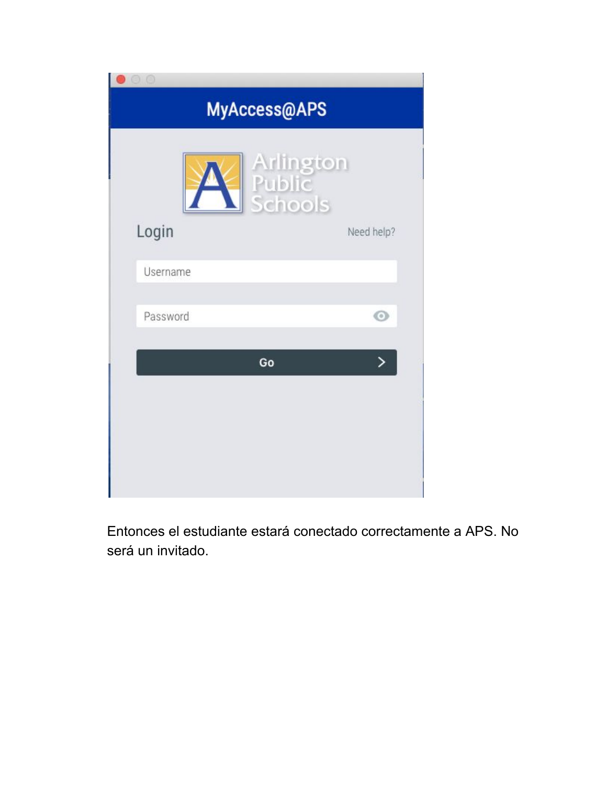| O<br>MyAccess@APS |                                |  |
|-------------------|--------------------------------|--|
|                   | Arlington<br>Public<br>Schools |  |
| Login             | Need help?                     |  |
| <b>Username</b>   |                                |  |
| Password          | $_{\odot}$                     |  |
| Go                |                                |  |
|                   |                                |  |
|                   |                                |  |
|                   |                                |  |
|                   |                                |  |

Entonces el estudiante estará conectado correctamente a APS. No será un invitado.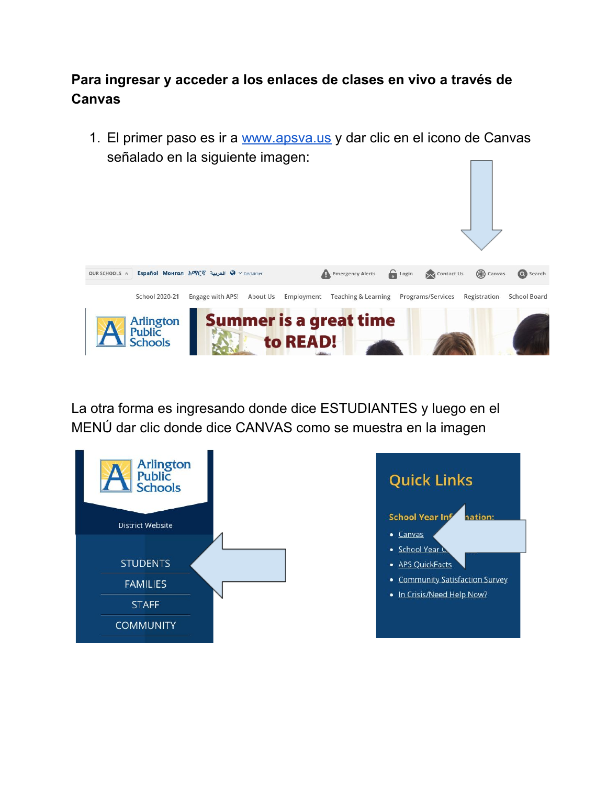### **Para ingresar y acceder a los enlaces de clases en vivo a través de Canvas**

1. El primer paso es ir a [www.apsva.us](http://www.apsva.us/) y dar clic en el icono de Canvas señalado en la siguiente imagen:



La otra forma es ingresando donde dice ESTUDIANTES y luego en el MENÚ dar clic donde dice CANVAS como se muestra en la imagen

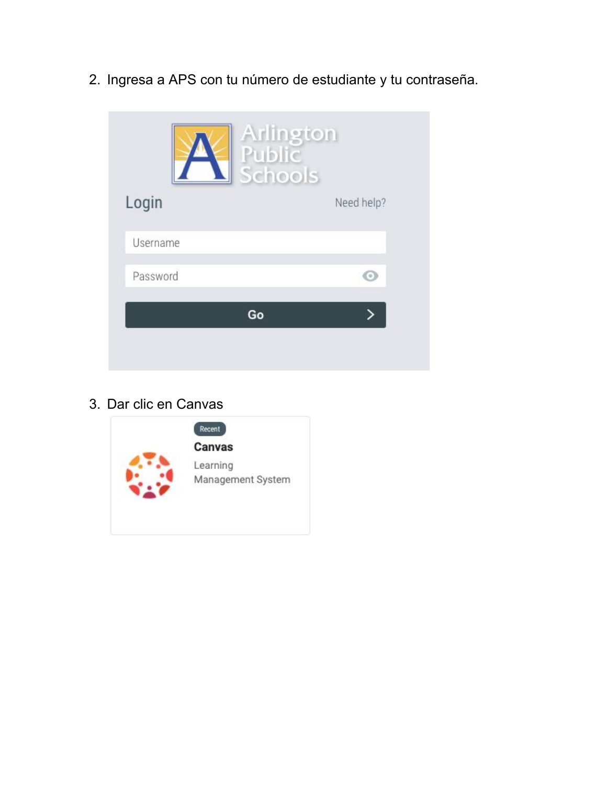2. Ingresa a APS con tu número de estudiante y tu contraseña.



3. Dar clic en Canvas

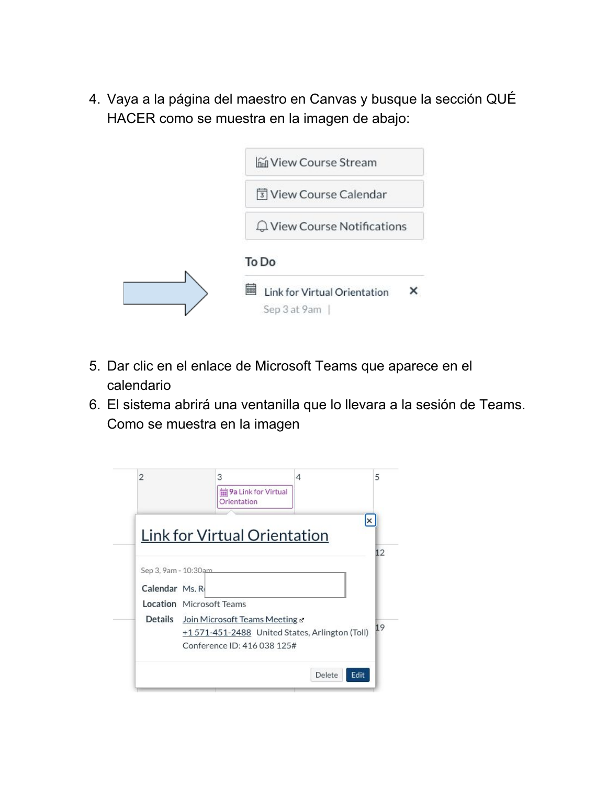4. Vaya a la página del maestro en Canvas y busque la sección QUÉ HACER como se muestra en la imagen de abajo:



- 5. Dar clic en el enlace de Microsoft Teams que aparece en el calendario
- 6. El sistema abrirá una ventanilla que lo llevara a la sesión de Teams. Como se muestra en la imagen

| $\overline{2}$                         | 3<br>9a Link for Virtual<br>Orientation                                       | 4 |                |
|----------------------------------------|-------------------------------------------------------------------------------|---|----------------|
|                                        | Link for Virtual Orientation                                                  |   | $\times$       |
| Sep 3, 9am - 10:30am<br>Calendar Ms. R |                                                                               |   |                |
|                                        | <b>Location</b> Microsoft Teams<br>Details Join Microsoft Teams Meeting &     |   |                |
|                                        | +1571-451-2488 United States, Arlington (Toll)<br>Conference ID: 416 038 125# |   |                |
|                                        |                                                                               |   | Delete<br>Edit |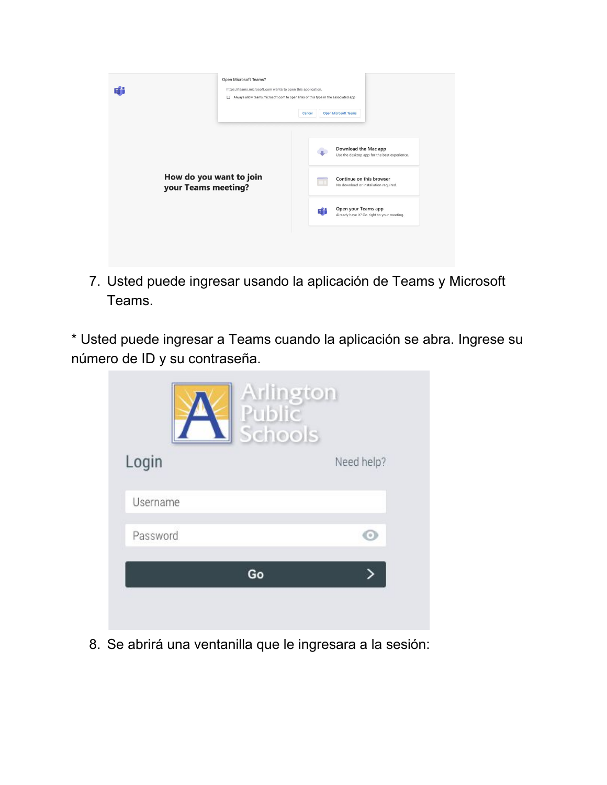

7. Usted puede ingresar usando la aplicación de Teams y Microsoft Teams.

\* Usted puede ingresar a Teams cuando la aplicación se abra. Ingrese su número de ID y su contraseña.

|          | Arlington<br>Public<br>Schools |            |
|----------|--------------------------------|------------|
| Login    |                                | Need help? |
| Username |                                |            |
| Password |                                |            |
|          | Go                             |            |
|          |                                |            |

8. Se abrirá una ventanilla que le ingresara a la sesión: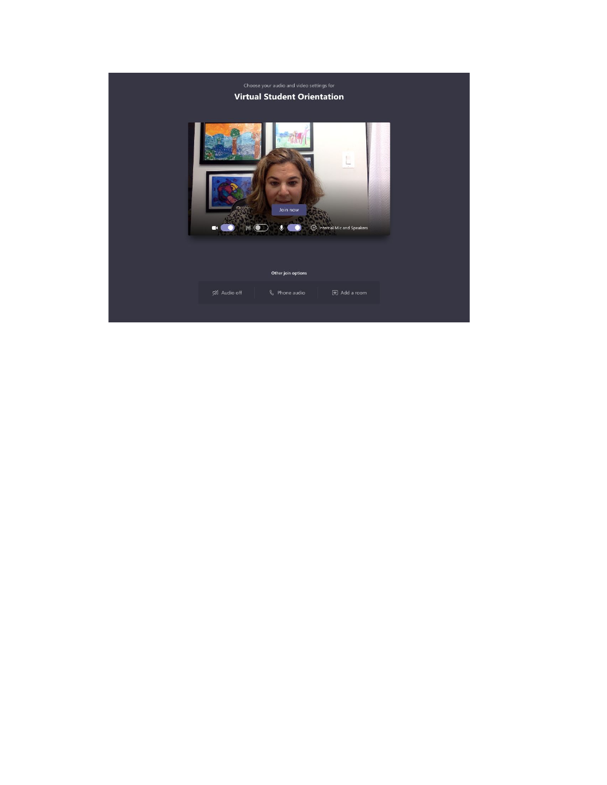